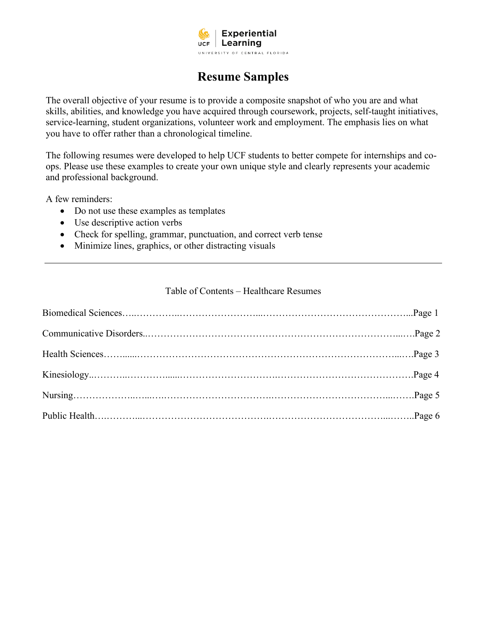

# **Resume Samples**

The overall objective of your resume is to provide a composite snapshot of who you are and what skills, abilities, and knowledge you have acquired through coursework, projects, self-taught initiatives, service-learning, student organizations, volunteer work and employment. The emphasis lies on what you have to offer rather than a chronological timeline.

The following resumes were developed to help UCF students to better compete for internships and coops. Please use these examples to create your own unique style and clearly represents your academic and professional background.

A few reminders:

- Do not use these examples as templates
- Use descriptive action verbs
- Check for spelling, grammar, punctuation, and correct verb tense
- Minimize lines, graphics, or other distracting visuals

#### Table of Contents – Healthcare Resumes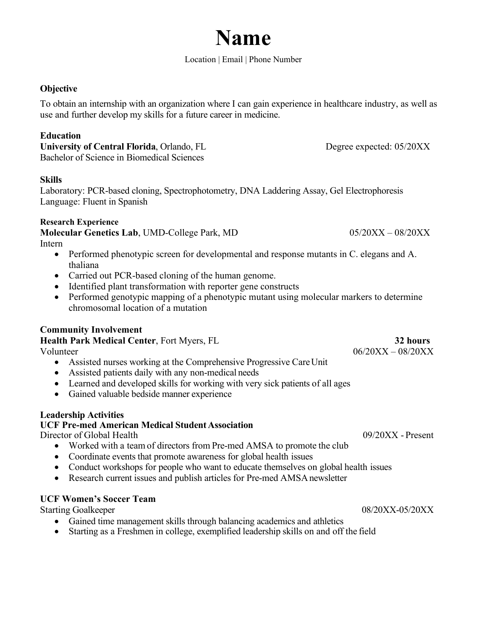# **Name**

#### Location | Email | Phone Number

#### **Objective**

To obtain an internship with an organization where I can gain experience in healthcare industry, as well as use and further develop my skills for a future career in medicine.

#### **Education**

**University of Central Florida**, Orlando, FL Degree expected: 05/20XX Bachelor of Science in Biomedical Sciences

#### **Skills**

Laboratory: PCR-based cloning, Spectrophotometry, DNA Laddering Assay, Gel Electrophoresis Language: Fluent in Spanish

#### **Research Experience**

**Molecular Genetics Lab**, UMD-College Park, MD 05/20XX – 08/20XX

- Intern
	- Performed phenotypic screen for developmental and response mutants in C. elegans and A. thaliana
	- Carried out PCR-based cloning of the human genome.
	- Identified plant transformation with reporter gene constructs
	- Performed genotypic mapping of a phenotypic mutant using molecular markers to determine chromosomal location of a mutation

#### **Community Involvement**

**Health Park Medical Center**, Fort Myers, FL **32 hours**

- Assisted nurses working at the Comprehensive Progressive Care Unit
- Assisted patients daily with any non-medical needs
- Learned and developed skills for working with very sick patients of all ages
- Gained valuable bedside manner experience

#### **Leadership Activities**

#### **UCF Pre-med American Medical Student Association**

Director of Global Health 09/20XX - Present

- Worked with a team of directors from Pre-med AMSA to promote the club
- Coordinate events that promote awareness for global health issues
- Conduct workshops for people who want to educate themselves on global health issues
- Research current issues and publish articles for Pre-med AMSA newsletter

#### **UCF Women's Soccer Team**

Starting Goalkeeper 08/20XX-05/20XX

- Gained time management skills through balancing academics and athletics
- Starting as a Freshmen in college, exemplified leadership skills on and off the field

Volunteer 06/20XX – 08/20XX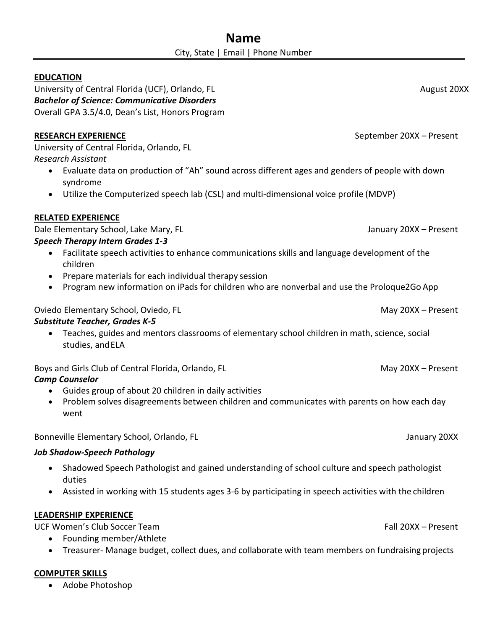#### **EDUCATION**

University of Central Florida (UCF), Orlando, FL August 20XX **August 20XX** *Bachelor of Science: Communicative Disorders* Overall GPA 3.5/4.0, Dean's List, Honors Program

## **RESEARCH EXPERIENCE** September 20XX – Present

University of Central Florida, Orlando, FL *Research Assistant*

- Evaluate data on production of "Ah" sound across different ages and genders of people with down syndrome
- Utilize the Computerized speech lab (CSL) and multi-dimensional voice profile (MDVP)

# **RELATED EXPERIENCE**

Dale Elementary School, Lake Mary, FL January 20XX – Present *Speech Therapy Intern Grades 1-3*

- Facilitate speech activities to enhance communications skills and language development of the children
- Prepare materials for each individual therapy session
- Program new information on iPads for children who are nonverbal and use the Proloque2Go App

## Oviedo Elementary School, Oviedo, FL May 20XX – Present

### *Substitute Teacher, Grades K-5*

• Teaches, guides and mentors classrooms of elementary school children in math, science, social studies, andELA

Boys and Girls Club of Central Florida, Orlando, FL May 20XX – Present

- *Camp Counselor*
	- Guides group of about 20 children in daily activities
	- Problem solves disagreements between children and communicates with parents on how each day went

Bonneville Elementary School, Orlando, FL January 20XX

### *Job Shadow-Speech Pathology*

- Shadowed Speech Pathologist and gained understanding of school culture and speech pathologist duties
- Assisted in working with 15 students ages 3-6 by participating in speech activities with the children

# **LEADERSHIP EXPERIENCE**

UCF Women's Club Soccer Team Fall 20XX – Present

- Founding member/Athlete
- Treasurer- Manage budget, collect dues, and collaborate with team members on fundraising projects

# **COMPUTER SKILLS**

• Adobe Photoshop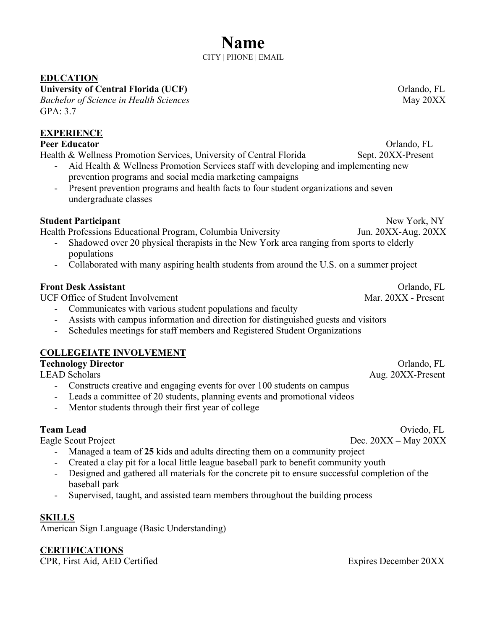#### **EDUCATION**

University of Central Florida (UCF) **Department of Central Florida** (UCF) **Department of Central Florida** (UCF) *Bachelor of Science in Health Sciences* **May 20XX** May 20XX GPA: 3.7

# **EXPERIENCE**

#### **Peer Educator** Orlando, FL

Health & Wellness Promotion Services, University of Central Florida Sept. 20XX-Present

- Aid Health & Wellness Promotion Services staff with developing and implementing new prevention programs and social media marketing campaigns
	- Present prevention programs and health facts to four student organizations and seven undergraduate classes

#### **Student Participant** New York, NY

Health Professions Educational Program, Columbia University Jun. 20XX-Aug. 20XX

- Shadowed over 20 physical therapists in the New York area ranging from sports to elderly populations
- Collaborated with many aspiring health students from around the U.S. on a summer project

#### **Front Desk Assistant FLORE ASSISTED ASSISTED ASSISTED ASSISTED ASSISTED ASSISTED ASSISTED ASSISTED FLORE ASSISTED ASSISTED ASSISTED ASSISTED ASSISTED ASSISTED ASSISTED ASSISTED ASSISTED ASSISTED ASSISTED ASSISTED ASSIS**

UCF Office of Student Involvement Mar. 20XX - Present

- Communicates with various student populations and faculty
- Assists with campus information and direction for distinguished guests and visitors
- Schedules meetings for staff members and Registered Student Organizations

### **COLLEGEIATE INVOLVEMENT**

| <b>Technology Director</b> | Orlando, FL       |
|----------------------------|-------------------|
| <b>LEAD Scholars</b>       | Aug. 20XX-Present |
|                            |                   |

- Constructs creative and engaging events for over 100 students on campus Leads a committee of 20 students, planning events and promotional videos
- Mentor students through their first year of college

- Managed a team of **25** kids and adults directing them on a community project
- Created a clay pit for a local little league baseball park to benefit community youth
- Designed and gathered all materials for the concrete pit to ensure successful completion of the baseball park
- Supervised, taught, and assisted team members throughout the building process

#### **SKILLS**

American Sign Language (Basic Understanding)

**CERTIFICATIONS**

CPR, First Aid, AED Certified Expires December 20XX

**Team Lead** Oviedo, FL Eagle Scout ProjectDec. 20XX **–** May 20XX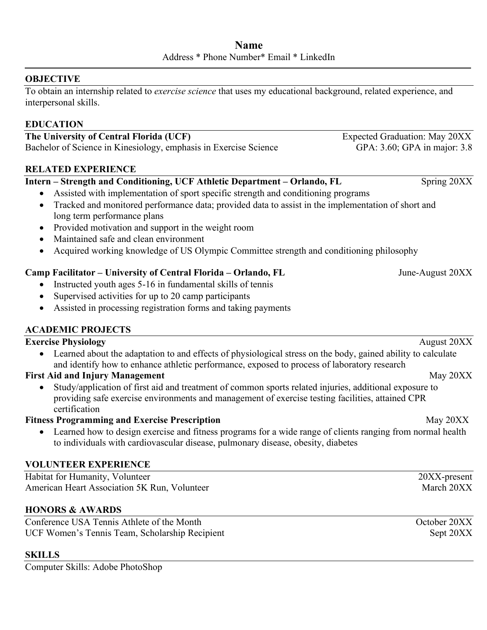#### **OBJECTIVE**

To obtain an internship related to *exercise science* that uses my educational background, related experience, and interpersonal skills.

#### **EDUCATION**

**The University of Central Florida (UCF)** Expected Graduation: May 20XX Bachelor of Science in Kinesiology, emphasis in Exercise Science GPA: 3.60; GPA in major: 3.8

#### **RELATED EXPERIENCE**

#### **Intern – Strength and Conditioning, UCF Athletic Department – Orlando, FL Spring 20XX**

- Assisted with implementation of sport specific strength and conditioning programs
- Tracked and monitored performance data; provided data to assist in the implementation of short and long term performance plans
- Provided motivation and support in the weight room
- Maintained safe and clean environment
- Acquired working knowledge of US Olympic Committee strength and conditioning philosophy

#### **Camp Facilitator – University of Central Florida – Orlando, FL** June-August 20XX

- Instructed youth ages 5-16 in fundamental skills of tennis
- Supervised activities for up to 20 camp participants
- Assisted in processing registration forms and taking payments

#### **ACADEMIC PROJECTS**

#### **Exercise Physiology August 20XX** • Learned about the adaptation to and effects of physiological stress on the body, gained ability to calculate and identify how to enhance athletic performance, exposed to process of laboratory research **First Aid and Injury Management** May 20XX • Study/application of first aid and treatment of common sports related injuries, additional exposure to providing safe exercise environments and management of exercise testing facilities, attained CPR certification **Fitness Programming and Exercise Prescription** May 20XX • Learned how to design exercise and fitness programs for a wide range of clients ranging from normal health to individuals with cardiovascular disease, pulmonary disease, obesity, diabetes

#### **VOLUNTEER EXPERIENCE**

| Habitat for Humanity, Volunteer              | 20XX-present |
|----------------------------------------------|--------------|
| American Heart Association 5K Run, Volunteer | March 20XX   |

#### **HONORS & AWARDS**

Conference USA Tennis Athlete of the Month October 20XX UCF Women's Tennis Team, Scholarship Recipient Sept 20XX

#### **SKILLS**

Computer Skills: Adobe PhotoShop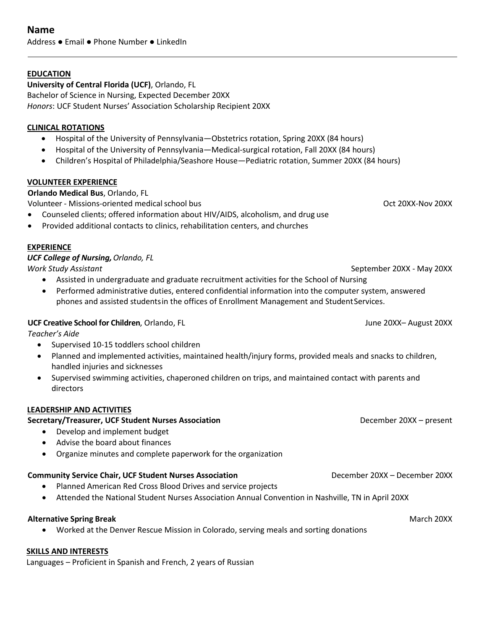#### **EDUCATION**

**University of Central Florida (UCF)**, Orlando, FL Bachelor of Science in Nursing, Expected December 20XX *Honors*: UCF Student Nurses' Association Scholarship Recipient 20XX

#### **CLINICAL ROTATIONS**

- Hospital of the University of Pennsylvania—Obstetrics rotation, Spring 20XX (84 hours)
- Hospital of the University of Pennsylvania—Medical-surgical rotation, Fall 20XX (84 hours)
- Children's Hospital of Philadelphia/Seashore House—Pediatric rotation, Summer 20XX (84 hours)

#### **VOLUNTEER EXPERIENCE**

**Orlando Medical Bus**, Orlando, FL

Volunteer - Missions-oriented medical school bus Oct 20XX-Nov 20XX Provident Controller and Deck 20XX-Nov 20XX

- Counseled clients; offered information about HIV/AIDS, alcoholism, and drug use
- Provided additional contacts to clinics, rehabilitation centers, and churches

#### **EXPERIENCE**

*UCF College of Nursing,Orlando, FL Work Study Assistant* September 20XX - May 20XX

- Assisted in undergraduate and graduate recruitment activities for the School of Nursing
- Performed administrative duties, entered confidential information into the computer system, answered phones and assisted studentsin the offices of Enrollment Management and StudentServices.

#### **UCF Creative School for Children**, Orlando, FL June 20XX– August 20XX

*Teacher's Aide*

- Supervised 10-15 toddlers school children
- Planned and implemented activities, maintained health/injury forms, provided meals and snacks to children, handled injuries and sicknesses
- Supervised swimming activities, chaperoned children on trips, and maintained contact with parents and directors

#### **LEADERSHIP AND ACTIVITIES**

### **Secretary/Treasurer, UCF Student Nurses Association** December 20XX – present

- Develop and implement budget
- Advise the board about finances
- Organize minutes and complete paperwork for the organization

# **Community Service Chair, UCF Student Nurses Association** December 20XX – December 20XX – 20XX

- Planned American Red Cross Blood Drives and service projects
- Attended the National Student Nurses Association Annual Convention in Nashville, TN in April 20XX

#### **Alternative Spring Break** March 20XX

• Worked at the Denver Rescue Mission in Colorado, serving meals and sorting donations

#### **SKILLS AND INTERESTS**

Languages – Proficient in Spanish and French, 2 years of Russian